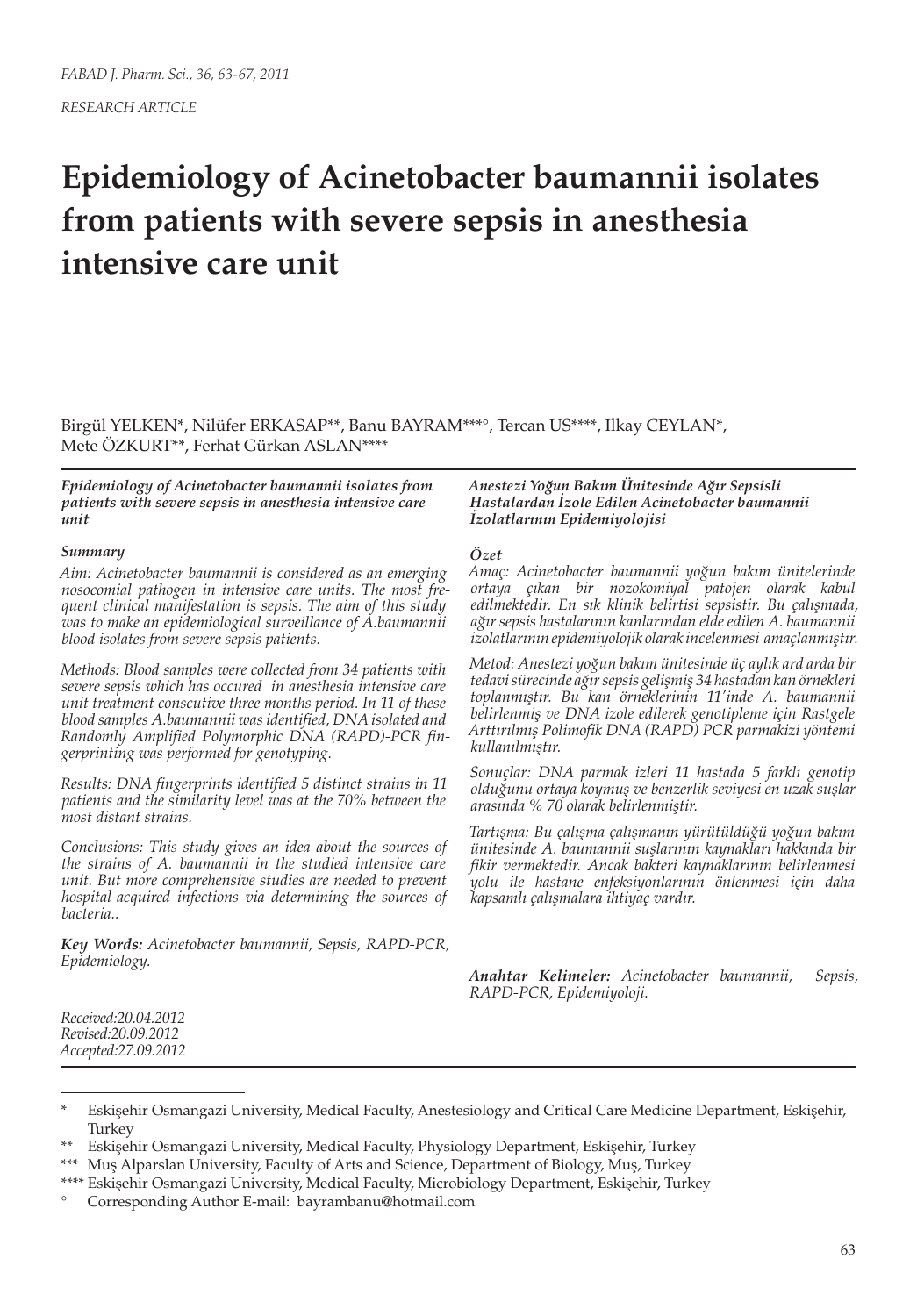# **Epidemiology of Acinetobacter baumannii isolates from patients with severe sepsis in anesthesia intensive care unit**

Birgül YELKEN\*, Nilüfer ERKASAP\*\*, Banu BAYRAM\*\*\*°, Tercan US\*\*\*\*, Ilkay CEYLAN\*, Mete ÖZKURT\*\*, Ferhat Gürkan ASLAN\*\*\*\*

*Epidemiology of Acinetobacter baumannii isolates from patients with severe sepsis in anesthesia intensive care unit*

#### *Summary*

*Aim: Acinetobacter baumannii is considered as an emerging nosocomial pathogen in intensive care units. The most frequent clinical manifestation is sepsis. The aim of this study was to make an epidemiological surveillance of A.baumannii blood isolates from severe sepsis patients.*

*Methods: Blood samples were collected from 34 patients with severe sepsis which has occured in anesthesia intensive care unit treatment conscutive three months period. In 11 of these blood samples A.baumannii was identified, DNA isolated and Randomly Amplified Polymorphic DNA (RAPD)-PCR fingerprinting was performed for genotyping.*

*Results: DNA fingerprints identified 5 distinct strains in 11 patients and the similarity level was at the 70% between the most distant strains.* 

*Conclusions: This study gives an idea about the sources of the strains of A. baumannii in the studied intensive care unit. But more comprehensive studies are needed to prevent hospital-acquired infections via determining the sources of bacteria..*

*Key Words: Acinetobacter baumannii, Sepsis, RAPD-PCR, Epidemiology.*

*Anestezi Yoğun Bakım Ünitesinde Ağır Sepsisli Hastalardan İzole Edilen Acinetobacter baumannii İzolatlarının Epidemiyolojisi*

#### *Özet*

*Amaç: Acinetobacter baumannii yoğun bakım ünitelerinde ortaya çıkan bir nozokomiyal patojen olarak kabul edilmektedir. En sık klinik belirtisi sepsistir. Bu çalışmada, ağır sepsis hastalarının kanlarından elde edilen A. baumannii izolatlarının epidemiyolojik olarak incelenmesi amaçlanmıştır.* 

*Metod: Anestezi yoğun bakım ünitesinde üç aylık ard arda bir tedavi sürecinde ağır sepsis gelişmiş 34 hastadan kan örnekleri toplanmıştır. Bu kan örneklerinin 11'inde A. baumannii belirlenmiş ve DNA izole edilerek genotipleme için Rastgele Arttırılmış Polimofik DNA (RAPD) PCR parmakizi yöntemi kullanılmıştır.*

*Sonuçlar: DNA parmak izleri 11 hastada 5 farklı genotip olduğunu ortaya koymuş ve benzerlik seviyesi en uzak suşlar arasında % 70 olarak belirlenmiştir.*

*Tartışma: Bu çalışma çalışmanın yürütüldüğü yoğun bakım ünitesinde A. baumannii suşlarının kaynakları hakkında bir fikir vermektedir. Ancak bakteri kaynaklarının belirlenmesi yolu ile hastane enfeksiyonlarının önlenmesi için daha kapsamlı çalışmalara ihtiyaç vardır.*

*Anahtar Kelimeler: Acinetobacter baumannii, Sepsis, RAPD-PCR, Epidemiyoloji.*

*Received:20.04.2012 Revised:20.09.2012 Accepted:27.09.2012*

Eskişehir Osmangazi University, Medical Faculty, Anestesiology and Critical Care Medicine Department, Eskişehir, Turkey

<sup>\*\*</sup> Eskişehir Osmangazi University, Medical Faculty, Physiology Department, Eskişehir, Turkey

<sup>\*\*\*</sup> Muş Alparslan University, Faculty of Arts and Science, Department of Biology, Muş, Turkey

<sup>\*\*\*\*</sup> Eskişehir Osmangazi University, Medical Faculty, Microbiology Department, Eskişehir, Turkey

<sup>°</sup> Corresponding Author E-mail: bayrambanu@hotmail.com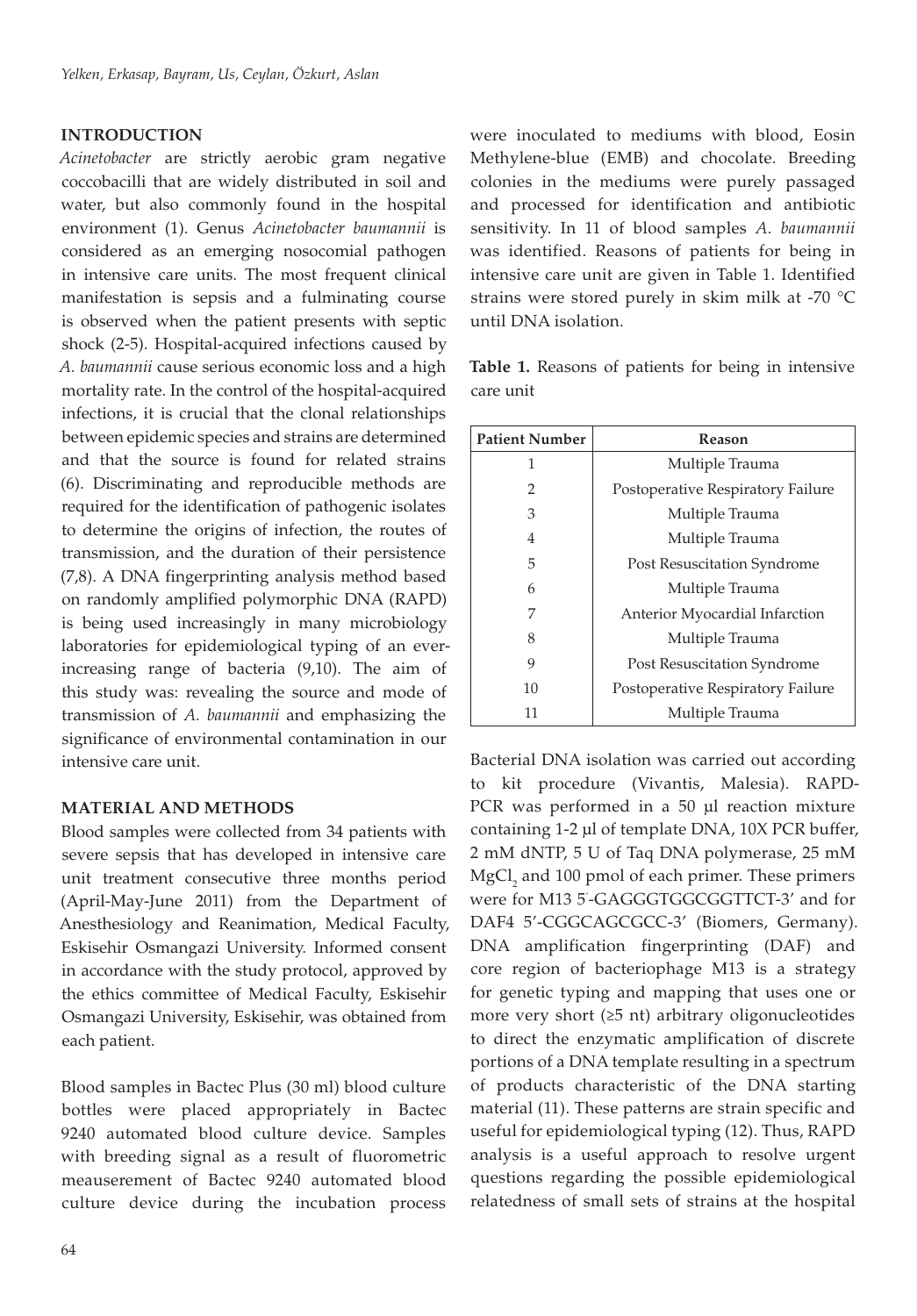### **INTRODUCTION**

*Acinetobacter* are strictly aerobic gram negative coccobacilli that are widely distributed in soil and water, but also commonly found in the hospital environment (1). Genus *Acinetobacter baumannii* is considered as an emerging nosocomial pathogen in intensive care units. The most frequent clinical manifestation is sepsis and a fulminating course is observed when the patient presents with septic shock (2-5). Hospital-acquired infections caused by *A. baumannii* cause serious economic loss and a high mortality rate. In the control of the hospital-acquired infections, it is crucial that the clonal relationships between epidemic species and strains are determined and that the source is found for related strains (6). Discriminating and reproducible methods are required for the identification of pathogenic isolates to determine the origins of infection, the routes of transmission, and the duration of their persistence (7,8). A DNA fingerprinting analysis method based on randomly amplified polymorphic DNA (RAPD) is being used increasingly in many microbiology laboratories for epidemiological typing of an everincreasing range of bacteria (9,10). The aim of this study was: revealing the source and mode of transmission of *A. baumannii* and emphasizing the significance of environmental contamination in our intensive care unit.

## **MATERIAL AND METHODS**

Blood samples were collected from 34 patients with severe sepsis that has developed in intensive care unit treatment consecutive three months period (April-May-June 2011) from the Department of Anesthesiology and Reanimation, Medical Faculty, Eskisehir Osmangazi University. Informed consent in accordance with the study protocol, approved by the ethics committee of Medical Faculty, Eskisehir Osmangazi University, Eskisehir, was obtained from each patient.

Blood samples in Bactec Plus (30 ml) blood culture bottles were placed appropriately in Bactec 9240 automated blood culture device. Samples with breeding signal as a result of fluorometric meauserement of Bactec 9240 automated blood culture device during the incubation process

care unit **Patient Number Reason** 

until DNA isolation.

| 1  | Multiple Trauma                   |
|----|-----------------------------------|
| 2  | Postoperative Respiratory Failure |
| 3  | Multiple Trauma                   |
| 4  | Multiple Trauma                   |
| 5  | Post Resuscitation Syndrome       |
| 6  | Multiple Trauma                   |
| 7  | Anterior Myocardial Infarction    |
| 8  | Multiple Trauma                   |
| 9  | Post Resuscitation Syndrome       |
| 10 | Postoperative Respiratory Failure |
| 11 | Multiple Trauma                   |

Bacterial DNA isolation was carried out according to kit procedure (Vivantis, Malesia). RAPD-PCR was performed in a 50 μl reaction mixture containing 1-2 μl of template DNA, 10X PCR buffer, 2 mM dNTP, 5 U of Taq DNA polymerase, 25 mM  ${ {\rm MgCl}_2}$  and 100 pmol of each primer. These primers were for M13 5' -GAGGGTGGCGGTTCT-3' and for DAF4 5'-CGGCAGCGCC-3' (Biomers, Germany). DNA amplification fingerprinting (DAF) and core region of bacteriophage M13 is a strategy for genetic typing and mapping that uses one or more very short  $(≥5$  nt) arbitrary oligonucleotides to direct the enzymatic amplification of discrete portions of a DNA template resulting in a spectrum of products characteristic of the DNA starting material (11). These patterns are strain specific and useful for epidemiological typing (12). Thus, RAPD analysis is a useful approach to resolve urgent questions regarding the possible epidemiological relatedness of small sets of strains at the hospital

**Table 1.** Reasons of patients for being in intensive

were inoculated to mediums with blood, Eosin Methylene-blue (EMB) and chocolate. Breeding colonies in the mediums were purely passaged and processed for identification and antibiotic sensitivity. In 11 of blood samples *A. baumannii* was identified. Reasons of patients for being in intensive care unit are given in Table 1. Identified strains were stored purely in skim milk at -70 °C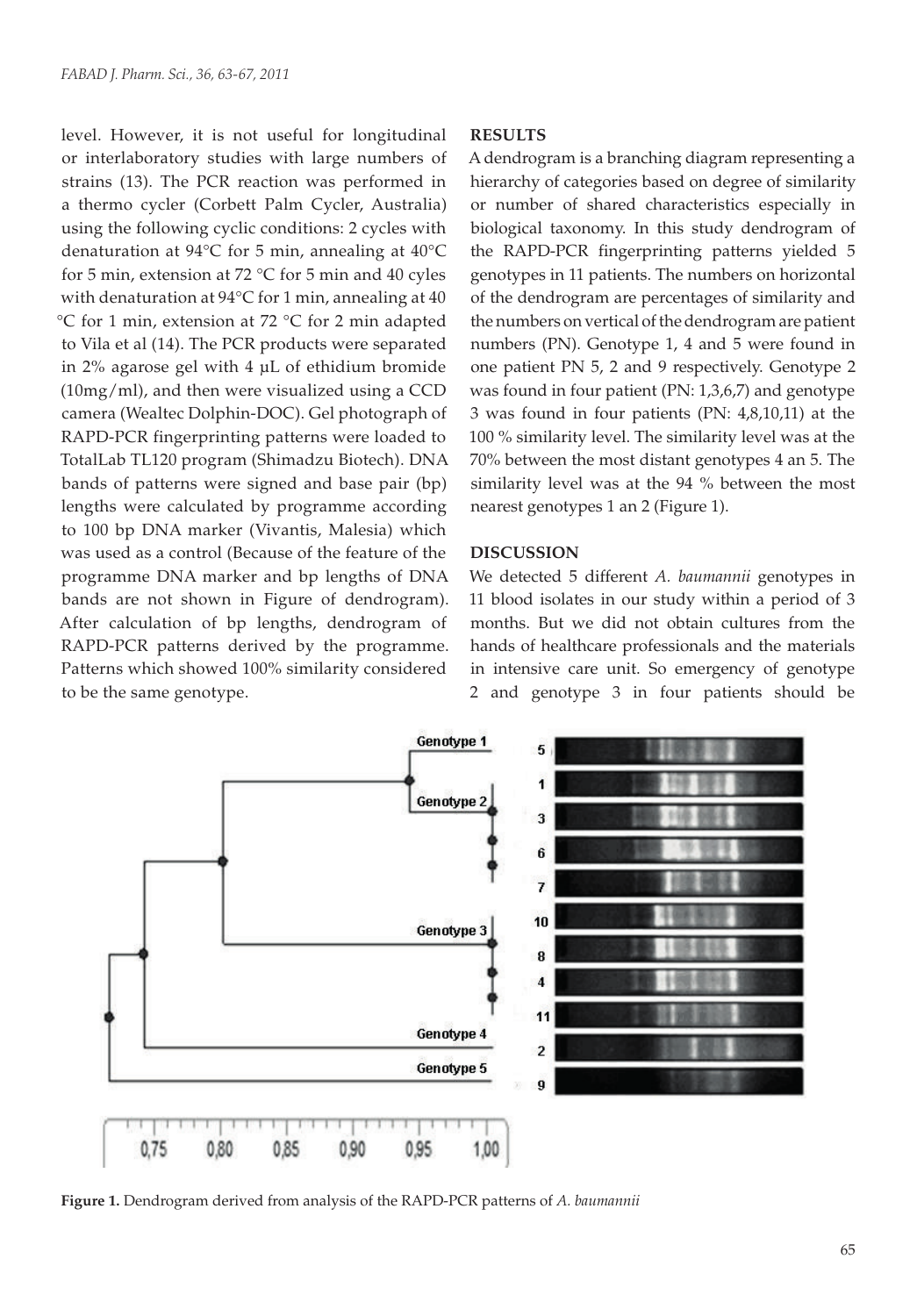level. However, it is not useful for longitudinal or interlaboratory studies with large numbers of strains (13). The PCR reaction was performed in a thermo cycler (Corbett Palm Cycler, Australia) using the following cyclic conditions: 2 cycles with denaturation at 94°C for 5 min, annealing at 40°C for 5 min, extension at 72 °C for 5 min and 40 cyles with denaturation at 94°C for 1 min, annealing at 40 °C for 1 min, extension at 72 °C for 2 min adapted to Vila et al (14). The PCR products were separated in 2% agarose gel with 4 µL of ethidium bromide (10mg/ml), and then were visualized using a CCD camera (Wealtec Dolphin-DOC). Gel photograph of RAPD-PCR fingerprinting patterns were loaded to TotalLab TL120 program (Shimadzu Biotech). DNA bands of patterns were signed and base pair (bp) lengths were calculated by programme according to 100 bp DNA marker (Vivantis, Malesia) which was used as a control (Because of the feature of the programme DNA marker and bp lengths of DNA bands are not shown in Figure of dendrogram). After calculation of bp lengths, dendrogram of RAPD-PCR patterns derived by the programme. Patterns which showed 100% similarity considered to be the same genotype.

#### **RESULTS**

A dendrogram is a branching diagram representing a hierarchy of categories based on degree of similarity or number of shared characteristics especially in biological taxonomy. In this study dendrogram of the RAPD-PCR fingerprinting patterns yielded 5 genotypes in 11 patients. The numbers on horizontal of the dendrogram are percentages of similarity and the numbers on vertical of the dendrogram are patient numbers (PN). Genotype 1, 4 and 5 were found in one patient PN 5, 2 and 9 respectively. Genotype 2 was found in four patient (PN: 1,3,6,7) and genotype 3 was found in four patients (PN: 4,8,10,11) at the 100 % similarity level. The similarity level was at the 70% between the most distant genotypes 4 an 5. The similarity level was at the 94 % between the most nearest genotypes 1 an 2 (Figure 1).

#### **DISCUSSION**

We detected 5 different *A. baumannii* genotypes in 11 blood isolates in our study within a period of 3 months. But we did not obtain cultures from the hands of healthcare professionals and the materials in intensive care unit. So emergency of genotype 2 and genotype 3 in four patients should be



**Figure 1.** Dendrogram derived from analysis of the RAPD-PCR patterns of *A. baumannii*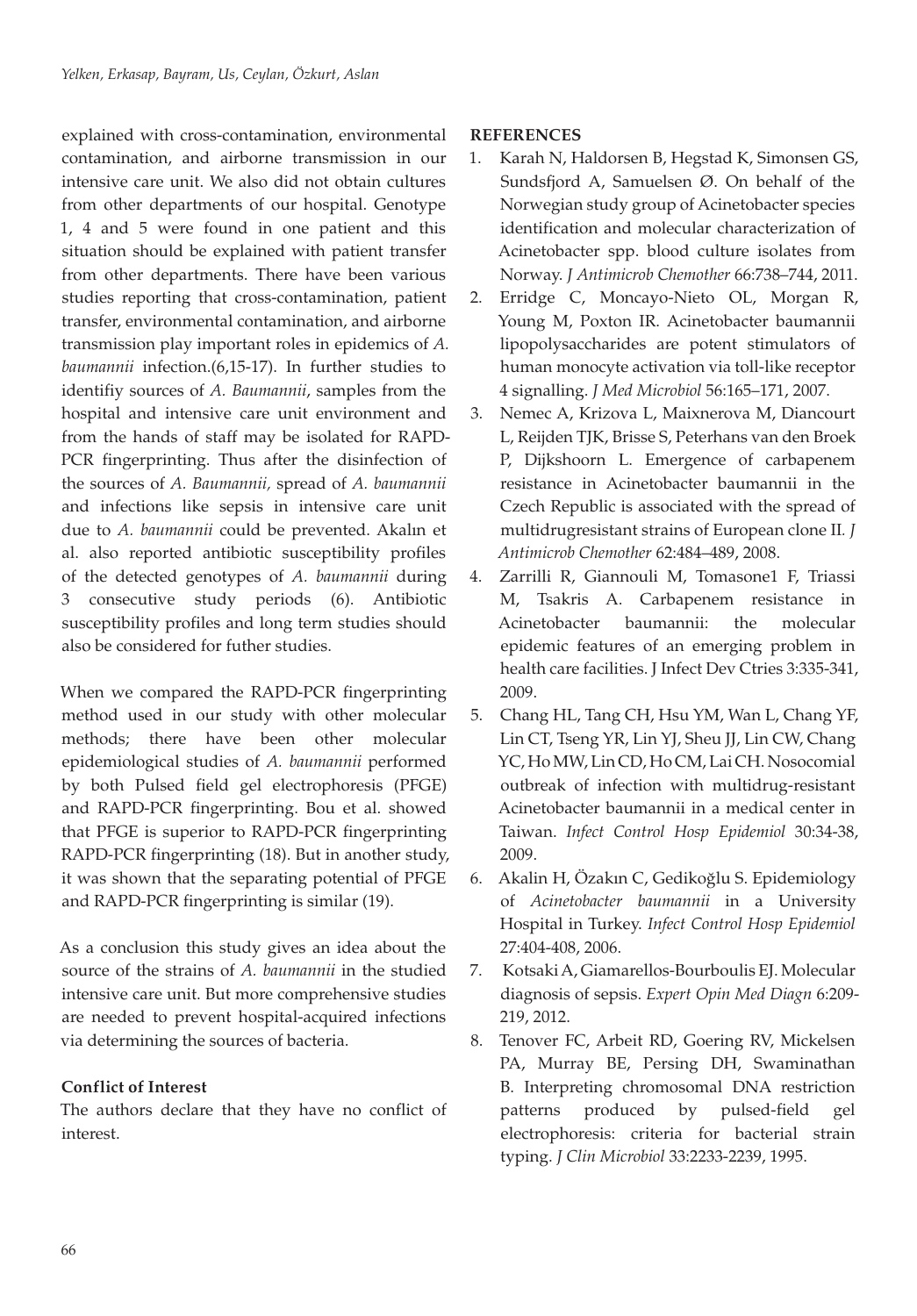explained with cross-contamination, environmental contamination, and airborne transmission in our intensive care unit. We also did not obtain cultures from other departments of our hospital. Genotype 1, 4 and 5 were found in one patient and this situation should be explained with patient transfer from other departments. There have been various studies reporting that cross-contamination, patient transfer, environmental contamination, and airborne transmission play important roles in epidemics of *A. baumannii* infection.(6,15-17). In further studies to identifiy sources of *A. Baumannii*, samples from the hospital and intensive care unit environment and from the hands of staff may be isolated for RAPD-PCR fingerprinting. Thus after the disinfection of the sources of *A. Baumannii,* spread of *A. baumannii* and infections like sepsis in intensive care unit due to *A. baumannii* could be prevented. Akalın et al. also reported antibiotic susceptibility profiles of the detected genotypes of *A. baumannii* during 3 consecutive study periods (6). Antibiotic susceptibility profiles and long term studies should also be considered for futher studies.

When we compared the RAPD-PCR fingerprinting method used in our study with other molecular methods; there have been other molecular epidemiological studies of *A. baumannii* performed by both Pulsed field gel electrophoresis (PFGE) and RAPD-PCR fingerprinting. Bou et al. showed that PFGE is superior to RAPD-PCR fingerprinting RAPD-PCR fingerprinting (18). But in another study, it was shown that the separating potential of PFGE and RAPD-PCR fingerprinting is similar (19).

As a conclusion this study gives an idea about the source of the strains of *A. baumannii* in the studied intensive care unit. But more comprehensive studies are needed to prevent hospital-acquired infections via determining the sources of bacteria.

## **Conflict of Interest**

The authors declare that they have no conflict of interest.

## **REFERENCES**

- 1. Karah N, Haldorsen B, Hegstad K, Simonsen GS, Sundsfjord A, Samuelsen Ø. On behalf of the Norwegian study group of Acinetobacter species identification and molecular characterization of Acinetobacter spp. blood culture isolates from Norway. *J Antimicrob Chemother* 66:738–744, 2011.
- 2. Erridge C, Moncayo-Nieto OL, Morgan R, Young M, Poxton IR. Acinetobacter baumannii lipopolysaccharides are potent stimulators of human monocyte activation via toll-like receptor 4 signalling. *J Med Microbiol* 56:165–171, 2007.
- 3. Nemec A, Krizova L, Maixnerova M, Diancourt L, Reijden TJK, Brisse S, Peterhans van den Broek P, Dijkshoorn L. Emergence of carbapenem resistance in Acinetobacter baumannii in the Czech Republic is associated with the spread of multidrugresistant strains of European clone II*. J Antimicrob Chemother* 62:484–489, 2008.
- 4. Zarrilli R, Giannouli M, Tomasone1 F, Triassi M, Tsakris A. Carbapenem resistance in Acinetobacter baumannii: the molecular epidemic features of an emerging problem in health care facilities. J Infect Dev Ctries 3:335-341, 2009.
- 5. Chang HL, Tang CH, Hsu YM, Wan L, Chang YF, Lin CT, Tseng YR, Lin YJ, Sheu JJ, Lin CW, Chang YC, Ho MW, Lin CD, Ho CM, Lai CH. Nosocomial outbreak of infection with multidrug-resistant Acinetobacter baumannii in a medical center in Taiwan. *Infect Control Hosp Epidemiol* 30:34-38, 2009.
- 6. Akalin H, Özakın C, Gedikoğlu S. Epidemiology of *Acinetobacter baumannii* in a University Hospital in Turkey. *Infect Control Hosp Epidemiol*  27:404-408, 2006.
- 7. Kotsaki A, Giamarellos-Bourboulis EJ. Molecular diagnosis of sepsis. *Expert Opin Med Diagn* 6:209- 219, 2012.
- 8. Tenover FC, Arbeit RD, Goering RV, Mickelsen PA, Murray BE, Persing DH, Swaminathan B. Interpreting chromosomal DNA restriction patterns produced by pulsed-field gel electrophoresis: criteria for bacterial strain typing. *J Clin Microbiol* 33:2233-2239, 1995.